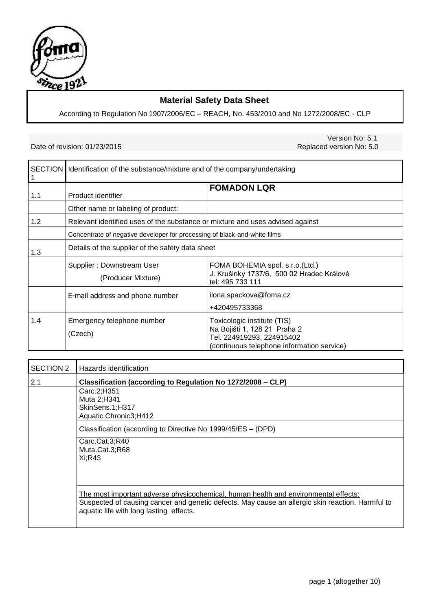

## **Material Safety Data Sheet**

According to Regulation No 1907/2006/EC – REACH, No. 453/2010 and No 1272/2008/EC - CLP

## Date of revision: 01/23/2015

Version No: 5.1<br>Replaced version No: 5.0

|     | SECTION   Identification of the substance/mixture and of the company/undertaking |                                                                                                                                        |  |  |
|-----|----------------------------------------------------------------------------------|----------------------------------------------------------------------------------------------------------------------------------------|--|--|
| 1.1 | Product identifier                                                               | <b>FOMADON LQR</b>                                                                                                                     |  |  |
|     | Other name or labeling of product:                                               |                                                                                                                                        |  |  |
| 1.2 | Relevant identified uses of the substance or mixture and uses advised against    |                                                                                                                                        |  |  |
|     | Concentrate of negative developer for processing of black-and-white films        |                                                                                                                                        |  |  |
| 1.3 | Details of the supplier of the safety data sheet                                 |                                                                                                                                        |  |  |
|     | Supplier: Downstream User<br>(Producer Mixture)                                  | FOMA BOHEMIA spol. s r.o.(Ltd.)<br>J. Krušinky 1737/6, 500 02 Hradec Králové<br>tel: 495 733 111                                       |  |  |
|     | E-mail address and phone number                                                  | ilona.spackova@foma.cz<br>+420495733368                                                                                                |  |  |
| 1.4 | Emergency telephone number<br>(Czech)                                            | Toxicologic institute (TIS)<br>Na Bojišti 1, 128 21 Praha 2<br>Tel. 224919293, 224915402<br>(continuous telephone information service) |  |  |

| <b>SECTION 2</b> | Hazards identification                                                                                                                                                                                                             |  |  |
|------------------|------------------------------------------------------------------------------------------------------------------------------------------------------------------------------------------------------------------------------------|--|--|
| 2.1              | Classification (according to Regulation No 1272/2008 – CLP)                                                                                                                                                                        |  |  |
|                  | Carc.2;H351                                                                                                                                                                                                                        |  |  |
|                  | Muta 2;H341                                                                                                                                                                                                                        |  |  |
|                  | SkinSens.1;H317                                                                                                                                                                                                                    |  |  |
|                  | Aquatic Chronic3;H412                                                                                                                                                                                                              |  |  |
|                  | Classification (according to Directive No 1999/45/ES - (DPD)                                                                                                                                                                       |  |  |
|                  | Carc.Cat.3;R40                                                                                                                                                                                                                     |  |  |
|                  | Muta.Cat.3;R68                                                                                                                                                                                                                     |  |  |
|                  | Xi; R43                                                                                                                                                                                                                            |  |  |
|                  |                                                                                                                                                                                                                                    |  |  |
|                  |                                                                                                                                                                                                                                    |  |  |
|                  | The most important adverse physicochemical, human health and environmental effects:<br>Suspected of causing cancer and genetic defects. May cause an allergic skin reaction. Harmful to<br>aquatic life with long lasting effects. |  |  |
|                  |                                                                                                                                                                                                                                    |  |  |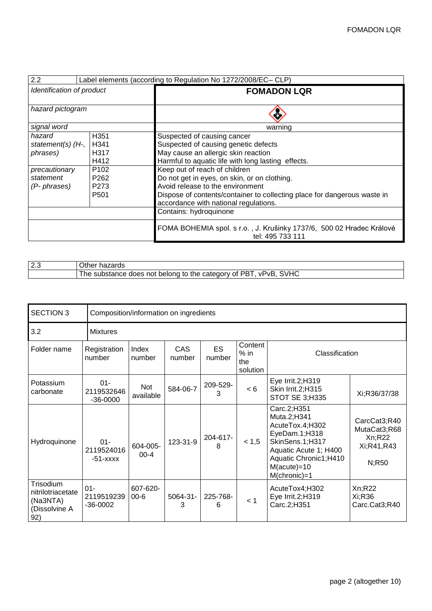| 2.2<br>Label elements (according to Regulation No 1272/2008/EC-CLP)           |                  |                                                                                          |  |  |
|-------------------------------------------------------------------------------|------------------|------------------------------------------------------------------------------------------|--|--|
| Identification of product                                                     |                  | <b>FOMADON LQR</b>                                                                       |  |  |
|                                                                               |                  |                                                                                          |  |  |
| hazard pictogram                                                              |                  |                                                                                          |  |  |
| signal word                                                                   |                  | warning                                                                                  |  |  |
| hazard                                                                        | H <sub>351</sub> | Suspected of causing cancer                                                              |  |  |
| statement(s) $(H7)$                                                           | H <sub>341</sub> | Suspected of causing genetic defects                                                     |  |  |
| phrases)                                                                      | H317             | May cause an allergic skin reaction                                                      |  |  |
|                                                                               | H412             | Harmful to aquatic life with long lasting effects.                                       |  |  |
| precautionary                                                                 | P <sub>102</sub> | Keep out of reach of children                                                            |  |  |
| Do not get in eyes, on skin, or on clothing.<br>P <sub>262</sub><br>statement |                  |                                                                                          |  |  |
| Avoid release to the environment<br>P273<br>$(P$ - phrases)                   |                  |                                                                                          |  |  |
|                                                                               | P <sub>501</sub> | Dispose of contents/container to collecting place for dangerous waste in                 |  |  |
|                                                                               |                  | accordance with national regulations.                                                    |  |  |
|                                                                               |                  | Contains: hydroquinone                                                                   |  |  |
|                                                                               |                  | FOMA BOHEMIA spol. s r.o., J. Krušinky 1737/6, 500 02 Hradec Králové<br>tel: 495 733 111 |  |  |

| l 2.3 | Other hazards                                                    |
|-------|------------------------------------------------------------------|
|       | The substance does not belong to the category of PBT, vPvB, SVHC |

| <b>SECTION 3</b><br>Composition/information on ingredients         |                                      |                      |                      |                     |                                      |                                                                                                                                                                          |                                                                |
|--------------------------------------------------------------------|--------------------------------------|----------------------|----------------------|---------------------|--------------------------------------|--------------------------------------------------------------------------------------------------------------------------------------------------------------------------|----------------------------------------------------------------|
| 3.2                                                                | <b>Mixtures</b>                      |                      |                      |                     |                                      |                                                                                                                                                                          |                                                                |
| Folder name                                                        | Registration<br>number               | Index<br>number      | <b>CAS</b><br>number | <b>ES</b><br>number | Content<br>$%$ in<br>the<br>solution | Classification                                                                                                                                                           |                                                                |
| Potassium<br>carbonate                                             | $01 -$<br>2119532646<br>$-36 - 0000$ | Not<br>available     | 584-06-7             | 209-529-<br>3       | < 6                                  | Eye Irrit.2;H319<br>Skin Irrit.2;H315<br>STOT SE 3;H335                                                                                                                  | Xi;R36/37/38                                                   |
| Hydroquinone                                                       | $01 -$<br>2119524016<br>$-51 - XXXX$ | 604-005-<br>$00 - 4$ | 123-31-9             | 204-617-<br>8       | < 1, 5                               | Carc.2;H351<br>Muta.2;H341<br>AcuteTox.4;H302<br>EyeDam.1;H318<br>SkinSens.1;H317<br>Aquatic Acute 1; H400<br>Aquatic Chronic1;H410<br>$M(acute) = 10$<br>$M(chronic)=1$ | CarcCat3;R40<br>MutaCat3;R68<br>Xn; R22<br>Xi;R41,R43<br>N;R50 |
| Trisodium<br>nitrilotriacetate<br>(Na3NTA)<br>(Dissolvine A<br>92) | $01 -$<br>2119519239<br>$-36 - 0002$ | 607-620-<br>$00 - 6$ | 5064-31-<br>3        | 225-768-<br>6       | < 1                                  | AcuteTox4;H302<br>Eye Irrit.2;H319<br>Carc.2;H351                                                                                                                        | Xn; R22<br>Xi;R36<br>Carc.Cat3;R40                             |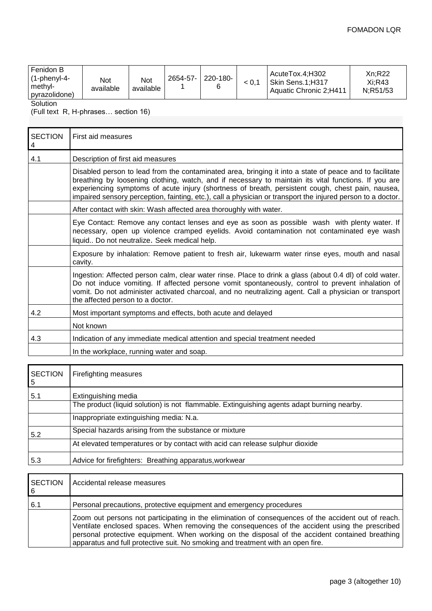| Fenidon B<br>220-180-<br>2654-57-<br>l (1-phenyl-4-<br>Not<br><b>Not</b><br>∣ methyl-<br>available<br>available<br>pyrazolidone) |  | AcuteTox.4:H302<br>i Skin Sens.1:H317<br>Aquatic Chronic 2:H411 | Xn:R22<br>Xi:R43<br>N:R51/53 |
|----------------------------------------------------------------------------------------------------------------------------------|--|-----------------------------------------------------------------|------------------------------|
|----------------------------------------------------------------------------------------------------------------------------------|--|-----------------------------------------------------------------|------------------------------|

Solution

(Full text R, H-phrases… section 16)

| <b>SECTION</b><br>4 | First aid measures                                                                                                                                                                                                                                                                                                                                                                                                                  |
|---------------------|-------------------------------------------------------------------------------------------------------------------------------------------------------------------------------------------------------------------------------------------------------------------------------------------------------------------------------------------------------------------------------------------------------------------------------------|
| 4.1                 | Description of first aid measures                                                                                                                                                                                                                                                                                                                                                                                                   |
|                     | Disabled person to lead from the contaminated area, bringing it into a state of peace and to facilitate<br>breathing by loosening clothing, watch, and if necessary to maintain its vital functions. If you are<br>experiencing symptoms of acute injury (shortness of breath, persistent cough, chest pain, nausea,<br>impaired sensory perception, fainting, etc.), call a physician or transport the injured person to a doctor. |
|                     | After contact with skin: Wash affected area thoroughly with water.                                                                                                                                                                                                                                                                                                                                                                  |
|                     | Eye Contact: Remove any contact lenses and eye as soon as possible wash with plenty water. If<br>necessary, open up violence cramped eyelids. Avoid contamination not contaminated eye wash<br>liquid Do not neutralize. Seek medical help.                                                                                                                                                                                         |
|                     | Exposure by inhalation: Remove patient to fresh air, lukewarm water rinse eyes, mouth and nasal<br>cavity.                                                                                                                                                                                                                                                                                                                          |
|                     | Ingestion: Affected person calm, clear water rinse. Place to drink a glass (about 0.4 dl) of cold water.<br>Do not induce vomiting. If affected persone vomit spontaneously, control to prevent inhalation of<br>vomit. Do not administer activated charcoal, and no neutralizing agent. Call a physician or transport<br>the affected person to a doctor.                                                                          |
| 4.2                 | Most important symptoms and effects, both acute and delayed                                                                                                                                                                                                                                                                                                                                                                         |
|                     | Not known                                                                                                                                                                                                                                                                                                                                                                                                                           |
| 4.3                 | Indication of any immediate medical attention and special treatment needed                                                                                                                                                                                                                                                                                                                                                          |
|                     | In the workplace, running water and soap.                                                                                                                                                                                                                                                                                                                                                                                           |

| Firefighting measures                                                                      |
|--------------------------------------------------------------------------------------------|
| Extinguishing media                                                                        |
| The product (liquid solution) is not flammable. Extinguishing agents adapt burning nearby. |
| Inappropriate extinguishing media: N.a.                                                    |
| Special hazards arising from the substance or mixture                                      |
| At elevated temperatures or by contact with acid can release sulphur dioxide               |
| Advice for firefighters: Breathing apparatus, workwear                                     |
|                                                                                            |

| <b>SECTION</b><br>l 6 | Accidental release measures                                                                                                                                                                                                                                                                                                                                                                 |
|-----------------------|---------------------------------------------------------------------------------------------------------------------------------------------------------------------------------------------------------------------------------------------------------------------------------------------------------------------------------------------------------------------------------------------|
| 6.1                   | Personal precautions, protective equipment and emergency procedures                                                                                                                                                                                                                                                                                                                         |
|                       | Zoom out persons not participating in the elimination of consequences of the accident out of reach.<br>Ventilate enclosed spaces. When removing the consequences of the accident using the prescribed<br>personal protective equipment. When working on the disposal of the accident contained breathing<br>apparatus and full protective suit. No smoking and treatment with an open fire. |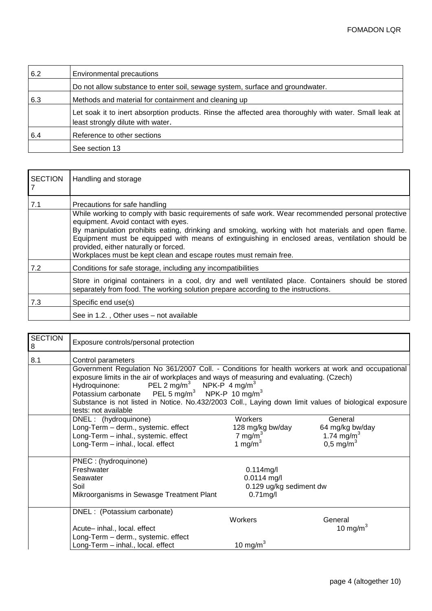| 6.2 | <b>Environmental precautions</b>                                                                                                            |
|-----|---------------------------------------------------------------------------------------------------------------------------------------------|
|     | Do not allow substance to enter soil, sewage system, surface and groundwater.                                                               |
| 6.3 | Methods and material for containment and cleaning up                                                                                        |
|     | Let soak it to inert absorption products. Rinse the affected area thoroughly with water. Small leak at<br>least strongly dilute with water. |
| 6.4 | Reference to other sections                                                                                                                 |
|     | See section 13                                                                                                                              |

| <b>SECTION</b> | Handling and storage                                                                                                                                                                                                                                                                                                                                                                                                                                                                              |
|----------------|---------------------------------------------------------------------------------------------------------------------------------------------------------------------------------------------------------------------------------------------------------------------------------------------------------------------------------------------------------------------------------------------------------------------------------------------------------------------------------------------------|
| 7.1            | Precautions for safe handling<br>While working to comply with basic requirements of safe work. Wear recommended personal protective<br>equipment. Avoid contact with eyes.<br>By manipulation prohibits eating, drinking and smoking, working with hot materials and open flame.<br>Equipment must be equipped with means of extinguishing in enclosed areas, ventilation should be<br>provided, either naturally or forced.<br>Workplaces must be kept clean and escape routes must remain free. |
| 7.2            | Conditions for safe storage, including any incompatibilities                                                                                                                                                                                                                                                                                                                                                                                                                                      |
|                | Store in original containers in a cool, dry and well ventilated place. Containers should be stored<br>separately from food. The working solution prepare according to the instructions.                                                                                                                                                                                                                                                                                                           |
| 7.3            | Specific end use(s)                                                                                                                                                                                                                                                                                                                                                                                                                                                                               |
|                | See in 1.2., Other uses - not available                                                                                                                                                                                                                                                                                                                                                                                                                                                           |

| <b>SECTION</b><br>8 | Exposure controls/personal protection                                                                                                                                                                                                                                                                                                                                                                                                                                       |                  |                        |  |  |  |
|---------------------|-----------------------------------------------------------------------------------------------------------------------------------------------------------------------------------------------------------------------------------------------------------------------------------------------------------------------------------------------------------------------------------------------------------------------------------------------------------------------------|------------------|------------------------|--|--|--|
| 8.1                 | Control parameters                                                                                                                                                                                                                                                                                                                                                                                                                                                          |                  |                        |  |  |  |
|                     | Government Regulation No 361/2007 Coll. - Conditions for health workers at work and occupational<br>exposure limits in the air of workplaces and ways of measuring and evaluating. (Czech)<br>Hydroquinone: PEL 2 mg/m <sup>3</sup><br>NPK-P $4 \text{ mg/m}^3$<br>Potassium carbonate  PEL 5 mg/m <sup>3</sup> NPK-P 10 mg/m <sup>3</sup><br>Substance is not listed in Notice. No.432/2003 Coll., Laying down limit values of biological exposure<br>tests: not available |                  |                        |  |  |  |
|                     | DNEL: (hydroquinone)                                                                                                                                                                                                                                                                                                                                                                                                                                                        | Workers          | General                |  |  |  |
|                     | Long-Term - derm., systemic. effect                                                                                                                                                                                                                                                                                                                                                                                                                                         | 128 mg/kg bw/day | 64 mg/kg bw/day        |  |  |  |
|                     | Long-Term - inhal., systemic. effect                                                                                                                                                                                                                                                                                                                                                                                                                                        | 7 mg/m $3$       | 1.74 mg/m <sup>3</sup> |  |  |  |
|                     | Long-Term - inhal., local. effect                                                                                                                                                                                                                                                                                                                                                                                                                                           | 1 mg/m $3$       | $0,5 \, \text{mg/m}^3$ |  |  |  |
|                     | PNEC: (hydroquinone)                                                                                                                                                                                                                                                                                                                                                                                                                                                        |                  |                        |  |  |  |
|                     | Freshwater<br>$0.114$ mg/l                                                                                                                                                                                                                                                                                                                                                                                                                                                  |                  |                        |  |  |  |
|                     | $0.0114$ mg/l<br>Seawater                                                                                                                                                                                                                                                                                                                                                                                                                                                   |                  |                        |  |  |  |
|                     | Soil<br>0.129 ug/kg sediment dw                                                                                                                                                                                                                                                                                                                                                                                                                                             |                  |                        |  |  |  |
|                     | Mikroorganisms in Sewasge Treatment Plant                                                                                                                                                                                                                                                                                                                                                                                                                                   | $0.71$ mg/l      |                        |  |  |  |
|                     | DNEL : (Potassium carbonate)                                                                                                                                                                                                                                                                                                                                                                                                                                                |                  |                        |  |  |  |
|                     |                                                                                                                                                                                                                                                                                                                                                                                                                                                                             | Workers          | General                |  |  |  |
|                     | Acute- inhal., local. effect                                                                                                                                                                                                                                                                                                                                                                                                                                                |                  | 10 mg/m $3$            |  |  |  |
|                     | Long-Term - derm., systemic. effect                                                                                                                                                                                                                                                                                                                                                                                                                                         |                  |                        |  |  |  |
|                     | Long-Term - inhal., local. effect                                                                                                                                                                                                                                                                                                                                                                                                                                           | 10 mg/m $3$      |                        |  |  |  |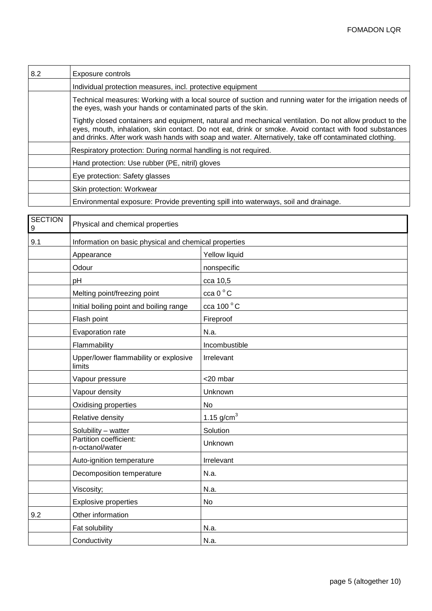| 8.2 | Exposure controls                                                                                                                                                                                                                                                                                                          |
|-----|----------------------------------------------------------------------------------------------------------------------------------------------------------------------------------------------------------------------------------------------------------------------------------------------------------------------------|
|     | Individual protection measures, incl. protective equipment                                                                                                                                                                                                                                                                 |
|     | Technical measures: Working with a local source of suction and running water for the irrigation needs of<br>the eyes, wash your hands or contaminated parts of the skin.                                                                                                                                                   |
|     | Tightly closed containers and equipment, natural and mechanical ventilation. Do not allow product to the<br>eyes, mouth, inhalation, skin contact. Do not eat, drink or smoke. Avoid contact with food substances<br>and drinks. After work wash hands with soap and water. Alternatively, take off contaminated clothing. |
|     | Respiratory protection: During normal handling is not required.                                                                                                                                                                                                                                                            |
|     | Hand protection: Use rubber (PE, nitril) gloves                                                                                                                                                                                                                                                                            |
|     | Eye protection: Safety glasses                                                                                                                                                                                                                                                                                             |
|     | Skin protection: Workwear                                                                                                                                                                                                                                                                                                  |
|     | Environmental exposure: Provide preventing spill into waterways, soil and drainage.                                                                                                                                                                                                                                        |

| <b>SECTION</b><br>9 | Physical and chemical properties                      |                 |  |
|---------------------|-------------------------------------------------------|-----------------|--|
| 9.1                 | Information on basic physical and chemical properties |                 |  |
|                     | Appearance                                            | Yellow liquid   |  |
|                     | Odour                                                 | nonspecific     |  |
|                     | pH                                                    | cca 10,5        |  |
|                     | Melting point/freezing point                          | cca 0°C         |  |
|                     | Initial boiling point and boiling range               | cca 100 °C      |  |
|                     | Flash point                                           | Fireproof       |  |
|                     | Evaporation rate                                      | N.a.            |  |
|                     | Flammability                                          | Incombustible   |  |
|                     | Upper/lower flammability or explosive<br>limits       | Irrelevant      |  |
|                     | Vapour pressure                                       | <20 mbar        |  |
|                     | Vapour density                                        | Unknown         |  |
|                     | Oxidising properties                                  | No              |  |
|                     | Relative density                                      | 1.15 $g/cm^{3}$ |  |
|                     | Solubility - watter                                   | Solution        |  |
|                     | Partition coefficient:<br>n-octanol/water             | Unknown         |  |
|                     | Auto-ignition temperature                             | Irrelevant      |  |
|                     | Decomposition temperature                             | N.a.            |  |
|                     | Viscosity;                                            | N.a.            |  |
|                     | <b>Explosive properties</b>                           | No              |  |
| 9.2                 | Other information                                     |                 |  |
|                     | Fat solubility                                        | N.a.            |  |
|                     | Conductivity                                          | N.a.            |  |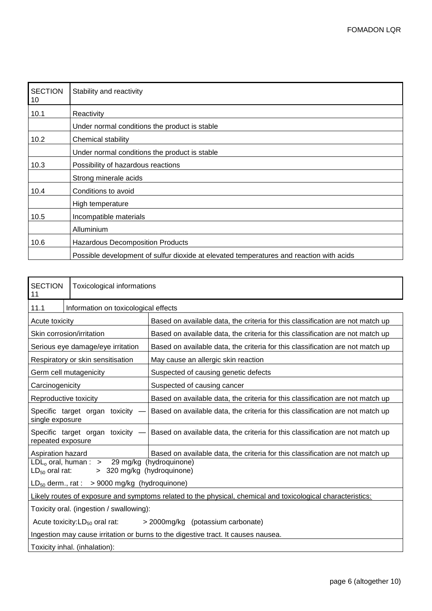| <b>SECTION</b><br>10 | Stability and reactivity                                                                |
|----------------------|-----------------------------------------------------------------------------------------|
| 10.1                 | Reactivity                                                                              |
|                      | Under normal conditions the product is stable                                           |
| 10.2                 | Chemical stability                                                                      |
|                      | Under normal conditions the product is stable                                           |
| 10.3                 | Possibility of hazardous reactions                                                      |
|                      | Strong minerale acids                                                                   |
| 10.4                 | Conditions to avoid                                                                     |
|                      | High temperature                                                                        |
| 10.5                 | Incompatible materials                                                                  |
|                      | Alluminium                                                                              |
| 10.6                 | <b>Hazardous Decomposition Products</b>                                                 |
|                      | Possible development of sulfur dioxide at elevated temperatures and reaction with acids |

| <b>SECTION</b><br>11                                                                                                | Toxicological informations                                               |                                                                                |
|---------------------------------------------------------------------------------------------------------------------|--------------------------------------------------------------------------|--------------------------------------------------------------------------------|
| 11.1                                                                                                                | Information on toxicological effects                                     |                                                                                |
| Acute toxicity                                                                                                      |                                                                          | Based on available data, the criteria for this classification are not match up |
| Skin corrosion/irritation                                                                                           |                                                                          | Based on available data, the criteria for this classification are not match up |
|                                                                                                                     | Serious eye damage/eye irritation                                        | Based on available data, the criteria for this classification are not match up |
|                                                                                                                     | Respiratory or skin sensitisation                                        | May cause an allergic skin reaction                                            |
| Germ cell mutagenicity                                                                                              |                                                                          | Suspected of causing genetic defects                                           |
| Carcinogenicity                                                                                                     |                                                                          | Suspected of causing cancer                                                    |
| Reproductive toxicity                                                                                               |                                                                          | Based on available data, the criteria for this classification are not match up |
| Specific target organ toxicity<br>single exposure                                                                   |                                                                          | Based on available data, the criteria for this classification are not match up |
| Specific target organ toxicity<br>repeated exposure                                                                 |                                                                          | Based on available data, the criteria for this classification are not match up |
| Aspiration hazard                                                                                                   |                                                                          | Based on available data, the criteria for this classification are not match up |
| 29 mg/kg (hydroquinone)<br>$LDL_0$ oral, human : $\Rightarrow$<br>> 320 mg/kg (hydroquinone)<br>$LD_{50}$ oral rat: |                                                                          |                                                                                |
| $LD_{50}$ derm., rat : > 9000 mg/kg (hydroquinone)                                                                  |                                                                          |                                                                                |
| Likely routes of exposure and symptoms related to the physical, chemical and toxicological characteristics:         |                                                                          |                                                                                |
| Toxicity oral. (ingestion / swallowing):                                                                            |                                                                          |                                                                                |
|                                                                                                                     | Acute toxicity: $LD_{50}$ oral rat:<br>> 2000mg/kg (potassium carbonate) |                                                                                |
| Ingestion may cause irritation or burns to the digestive tract. It causes nausea.                                   |                                                                          |                                                                                |
| Toxicity inhal. (inhalation):                                                                                       |                                                                          |                                                                                |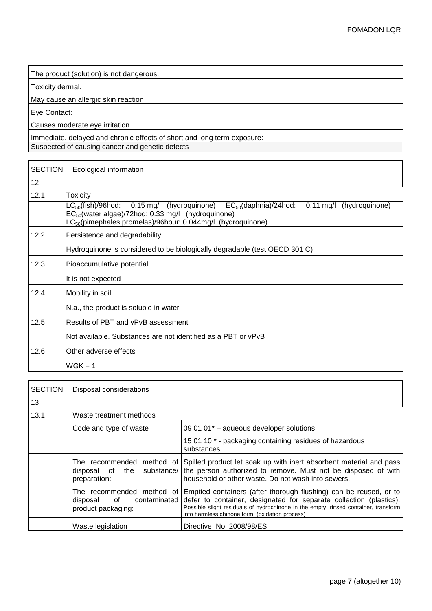The product (solution) is not dangerous.

Toxicity dermal.

May cause an allergic skin reaction

Eye Contact:

Causes moderate eye irritation

Immediate, delayed and chronic effects of short and long term exposure: Suspected of causing cancer and genetic defects

| <b>SECTION</b> | Ecological information                                                                                                                                                                                                                                           |  |
|----------------|------------------------------------------------------------------------------------------------------------------------------------------------------------------------------------------------------------------------------------------------------------------|--|
| 12             |                                                                                                                                                                                                                                                                  |  |
| 12.1           | <b>Toxicity</b>                                                                                                                                                                                                                                                  |  |
|                | $LC_{50}$ (fish)/96hod:<br>0.15 mg/l (hydroquinone)<br>$EC_{50}$ (daphnia)/24hod:<br>$0.11 \text{ mg/l}$<br>(hydroquinone)<br>$EC_{50}$ (water algae)/72hod: 0.33 mg/l (hydroquinone)<br>LC <sub>50</sub> (pimephales promelas)/96hour: 0.044mg/l (hydroquinone) |  |
| 12.2           | Persistence and degradability                                                                                                                                                                                                                                    |  |
|                | Hydroquinone is considered to be biologically degradable (test OECD 301 C)                                                                                                                                                                                       |  |
| 12.3           | Bioaccumulative potential                                                                                                                                                                                                                                        |  |
|                | It is not expected                                                                                                                                                                                                                                               |  |
| 12.4           | Mobility in soil                                                                                                                                                                                                                                                 |  |
|                | N.a., the product is soluble in water                                                                                                                                                                                                                            |  |
| 12.5           | Results of PBT and vPvB assessment                                                                                                                                                                                                                               |  |
|                | Not available. Substances are not identified as a PBT or vPvB                                                                                                                                                                                                    |  |
| 12.6           | Other adverse effects                                                                                                                                                                                                                                            |  |
|                | $W$ GK = 1                                                                                                                                                                                                                                                       |  |

| <b>SECTION</b> | Disposal considerations                                                           |                                                                                                                                                                                                                                                                                   |
|----------------|-----------------------------------------------------------------------------------|-----------------------------------------------------------------------------------------------------------------------------------------------------------------------------------------------------------------------------------------------------------------------------------|
| 13             |                                                                                   |                                                                                                                                                                                                                                                                                   |
| 13.1           | Waste treatment methods                                                           |                                                                                                                                                                                                                                                                                   |
|                | Code and type of waste                                                            | 09 01 01 $^*$ – aqueous developer solutions                                                                                                                                                                                                                                       |
|                |                                                                                   | 15 01 10 * - packaging containing residues of hazardous<br>substances                                                                                                                                                                                                             |
|                | The recommended method of<br>disposal of the substance/<br>preparation:           | Spilled product let soak up with inert absorbent material and pass<br>the person authorized to remove. Must not be disposed of with<br>household or other waste. Do not wash into sewers.                                                                                         |
|                | The recommended method of<br>of<br>contaminated<br>disposal<br>product packaging: | Emptied containers (after thorough flushing) can be reused, or to<br>defer to container, designated for separate collection (plastics).<br>Possible slight residuals of hydrochinone in the empty, rinsed container, transform<br>into harmless chinone form. (oxidation process) |
|                | Waste legislation                                                                 | Directive No. 2008/98/ES                                                                                                                                                                                                                                                          |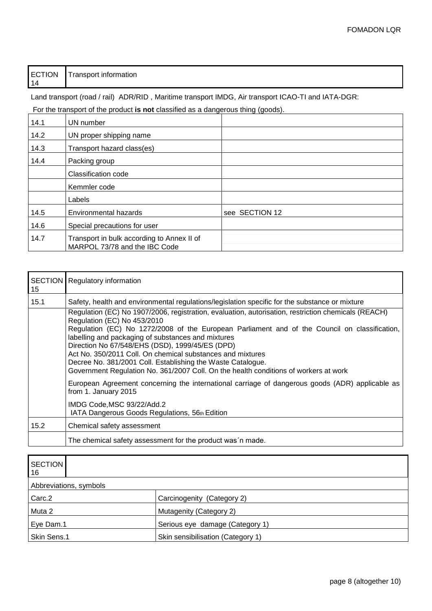| 14 |
|----|
|----|

Land transport (road / rail) ADR/RID, Maritime transport IMDG, Air transport ICAO-TI and IATA-DGR:

For the transport of the product **is not** classified as a dangerous thing (goods).

| 14.1 | UN number                                                                   |                |
|------|-----------------------------------------------------------------------------|----------------|
| 14.2 | UN proper shipping name                                                     |                |
| 14.3 | Transport hazard class(es)                                                  |                |
| 14.4 | Packing group                                                               |                |
|      | Classification code                                                         |                |
|      | Kemmler code                                                                |                |
|      | Labels                                                                      |                |
| 14.5 | Environmental hazards                                                       | see SECTION 12 |
| 14.6 | Special precautions for user                                                |                |
| 14.7 | Transport in bulk according to Annex II of<br>MARPOL 73/78 and the IBC Code |                |

| 15   | <b>SECTION</b> Regulatory information                                                                                                                                                                                                                                                                                                                                                                                                                                                                                                                             |
|------|-------------------------------------------------------------------------------------------------------------------------------------------------------------------------------------------------------------------------------------------------------------------------------------------------------------------------------------------------------------------------------------------------------------------------------------------------------------------------------------------------------------------------------------------------------------------|
| 15.1 | Safety, health and environmental regulations/legislation specific for the substance or mixture                                                                                                                                                                                                                                                                                                                                                                                                                                                                    |
|      | Regulation (EC) No 1907/2006, registration, evaluation, autorisation, restriction chemicals (REACH)<br>Regulation (EC) No 453/2010<br>Regulation (EC) No 1272/2008 of the European Parliament and of the Council on classification,<br>labelling and packaging of substances and mixtures<br>Direction No 67/548/EHS (DSD), 1999/45/ES (DPD)<br>Act No. 350/2011 Coll. On chemical substances and mixtures<br>Decree No. 381/2001 Coll. Establishing the Waste Catalogue.<br>Government Regulation No. 361/2007 Coll. On the health conditions of workers at work |
|      | European Agreement concerning the international carriage of dangerous goods (ADR) applicable as<br>from 1. January 2015<br>IMDG Code, MSC 93/22/Add.2<br>IATA Dangerous Goods Regulations, 56th Edition                                                                                                                                                                                                                                                                                                                                                           |
| 15.2 | Chemical safety assessment                                                                                                                                                                                                                                                                                                                                                                                                                                                                                                                                        |
|      | The chemical safety assessment for the product was n made.                                                                                                                                                                                                                                                                                                                                                                                                                                                                                                        |

| <b>SECTION</b><br>16   |                                   |  |
|------------------------|-----------------------------------|--|
| Abbreviations, symbols |                                   |  |
| Carc.2                 | Carcinogenity (Category 2)        |  |
| Muta 2                 | Mutagenity (Category 2)           |  |
| Eye Dam.1              | Serious eye damage (Category 1)   |  |
| Skin Sens.1            | Skin sensibilisation (Category 1) |  |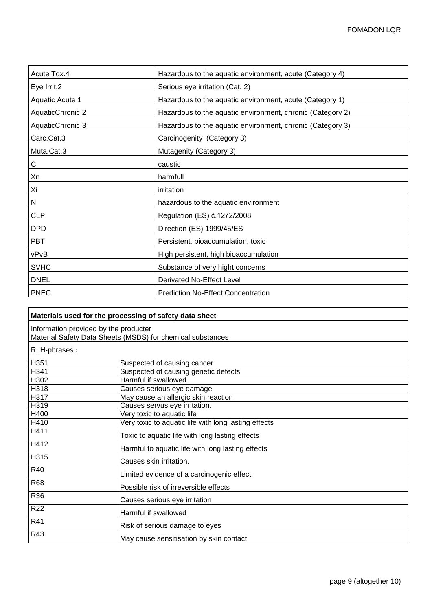| Acute Tox.4            | Hazardous to the aquatic environment, acute (Category 4)   |
|------------------------|------------------------------------------------------------|
| Eye Irrit.2            | Serious eye irritation (Cat. 2)                            |
| <b>Aquatic Acute 1</b> | Hazardous to the aquatic environment, acute (Category 1)   |
| AquaticChronic 2       | Hazardous to the aquatic environment, chronic (Category 2) |
| AquaticChronic 3       | Hazardous to the aquatic environment, chronic (Category 3) |
| Carc.Cat.3             | Carcinogenity (Category 3)                                 |
| Muta.Cat.3             | Mutagenity (Category 3)                                    |
| С                      | caustic                                                    |
| Xn                     | harmfull                                                   |
| Χi                     | irritation                                                 |
| Ν                      | hazardous to the aquatic environment                       |
| <b>CLP</b>             | Regulation (ES) č.1272/2008                                |
| <b>DPD</b>             | Direction (ES) 1999/45/ES                                  |
| <b>PBT</b>             | Persistent, bioaccumulation, toxic                         |
| vPvB                   | High persistent, high bioaccumulation                      |
| <b>SVHC</b>            | Substance of very hight concerns                           |
| <b>DNEL</b>            | Derivated No-Effect Level                                  |
| <b>PNEC</b>            | <b>Prediction No-Effect Concentration</b>                  |

| Materials used for the processing of safety data sheet |                                                            |
|--------------------------------------------------------|------------------------------------------------------------|
| Information provided by the producter                  |                                                            |
|                                                        | Material Safety Data Sheets (MSDS) for chemical substances |
| R, H-phrases:                                          |                                                            |
| H351                                                   | Suspected of causing cancer                                |
| H341                                                   | Suspected of causing genetic defects                       |
| H302                                                   | Harmful if swallowed                                       |
| H318                                                   | Causes serious eye damage                                  |
| H317                                                   | May cause an allergic skin reaction                        |
| H319                                                   | Causes servus eye irritation.                              |
| H400                                                   | Very toxic to aquatic life                                 |
| H410                                                   | Very toxic to aquatic life with long lasting effects       |
| H411                                                   | Toxic to aquatic life with long lasting effects            |
| H412                                                   | Harmful to aquatic life with long lasting effects          |
| H315                                                   | Causes skin irritation.                                    |
| R40                                                    | Limited evidence of a carcinogenic effect                  |
| <b>R68</b>                                             | Possible risk of irreversible effects                      |
| R36                                                    | Causes serious eye irritation                              |
| <b>R22</b>                                             | Harmful if swallowed                                       |
| R41                                                    | Risk of serious damage to eyes                             |
| R43                                                    | May cause sensitisation by skin contact                    |